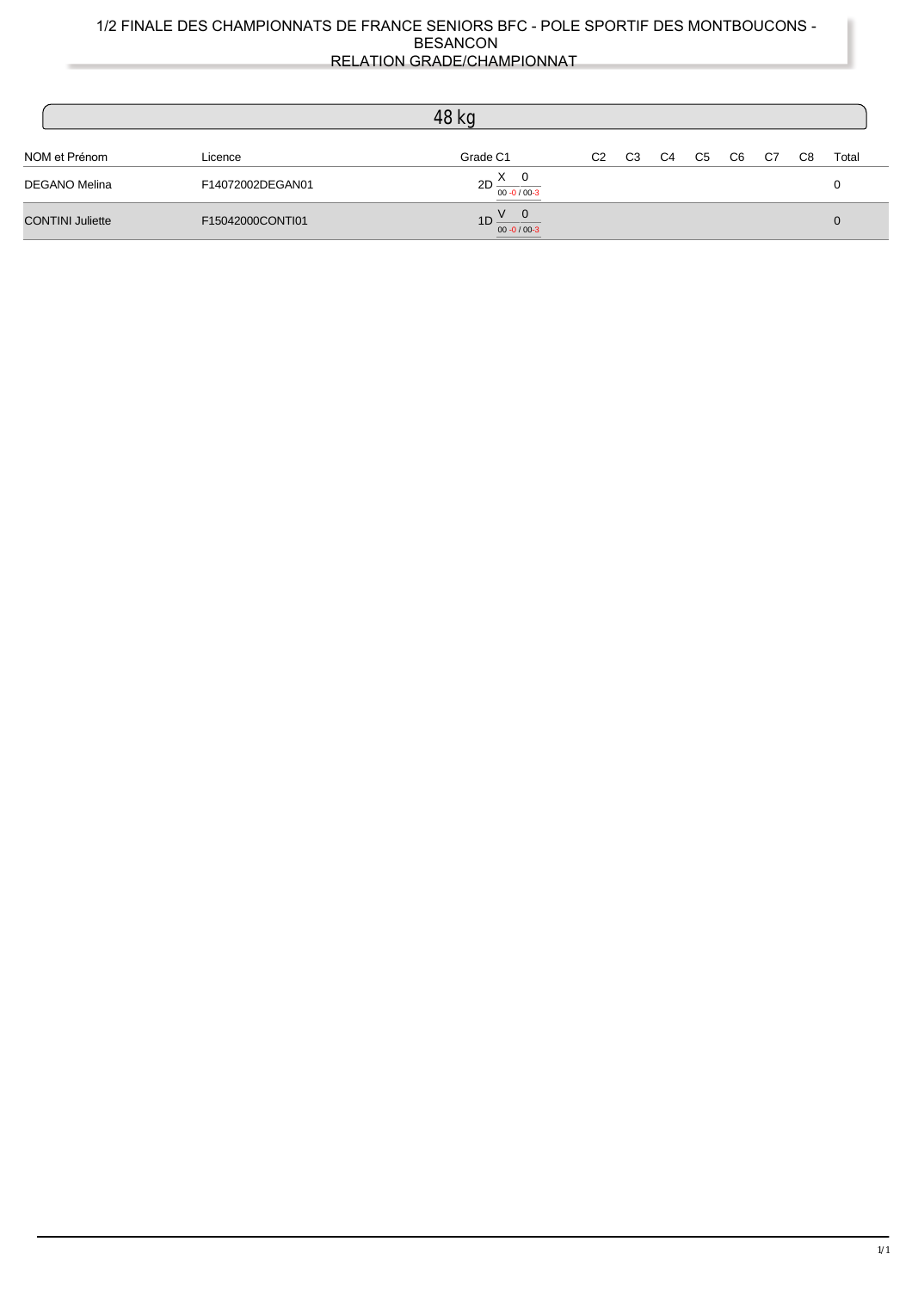|                         |                  | 48 kg                                 |                |                |                |    |                |    |    |       |
|-------------------------|------------------|---------------------------------------|----------------|----------------|----------------|----|----------------|----|----|-------|
| NOM et Prénom           | Licence          | Grade C1                              | C <sub>2</sub> | C <sub>3</sub> | C <sub>4</sub> | C5 | C <sub>6</sub> | C7 | C8 | Total |
| <b>DEGANO Melina</b>    | F14072002DEGAN01 | $2D \frac{X}{Y}$<br>$00 - 0 / 00 - 3$ |                |                |                |    |                |    |    |       |
| <b>CONTINI Juliette</b> | F15042000CONTI01 | 1D<br>$00 - 0 / 00 - 3$               |                |                |                |    |                |    |    | 0     |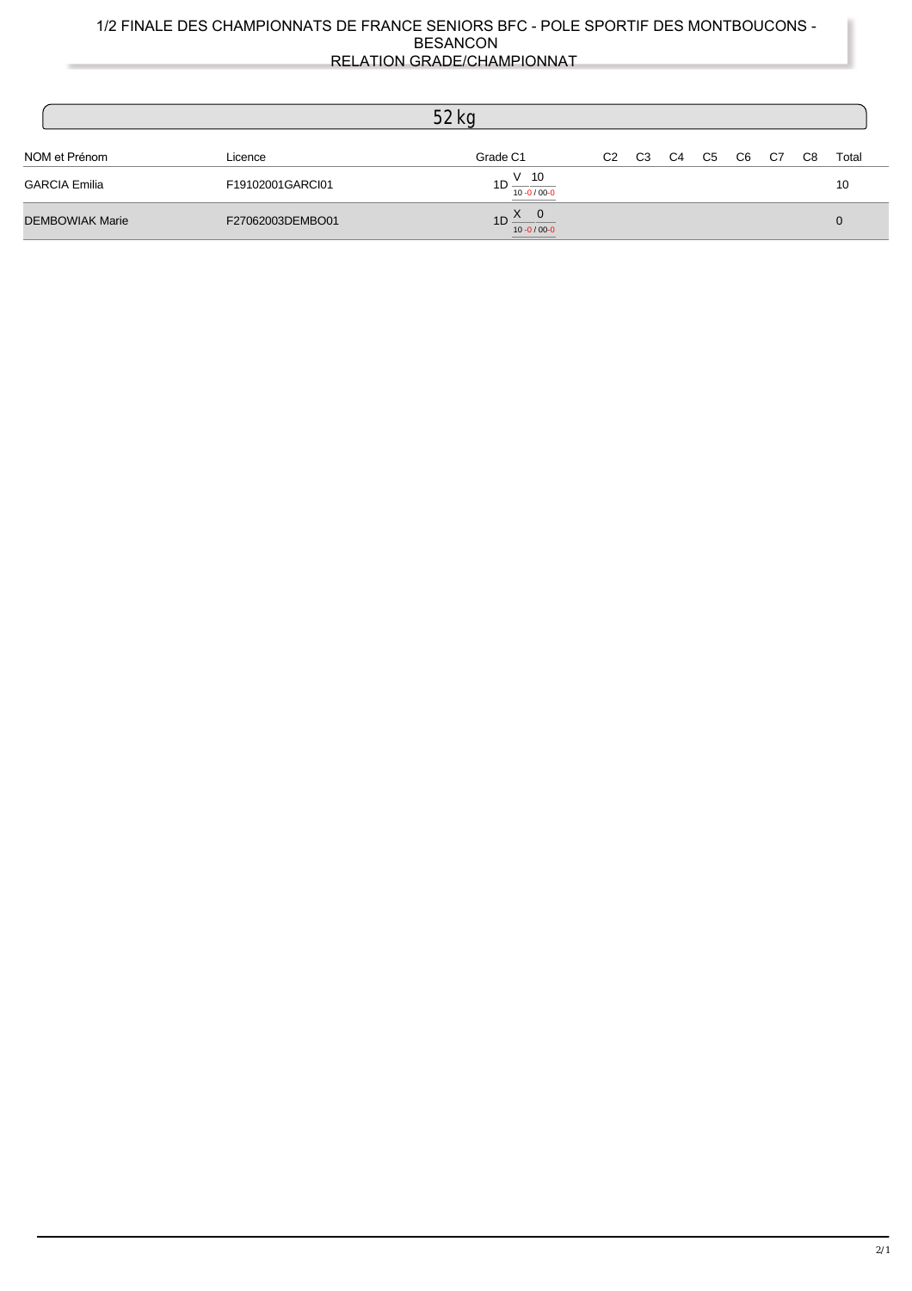|                        |                  | 52 <sub>kg</sub>                         |                |                |    |    |                |    |    |       |
|------------------------|------------------|------------------------------------------|----------------|----------------|----|----|----------------|----|----|-------|
| NOM et Prénom          | Licence          | Grade C1                                 | C <sub>2</sub> | C <sub>3</sub> | C4 | C5 | C <sub>6</sub> | C7 | C8 | Total |
| <b>GARCIA Emilia</b>   | F19102001GARCI01 | $1D \frac{V}{I}$ 10<br>$10 - 0 / 00 - 0$ |                |                |    |    |                |    |    | 10    |
| <b>DEMBOWIAK Marie</b> | F27062003DEMBO01 | $1D \frac{X}{10-0/00-0}$                 |                |                |    |    |                |    |    |       |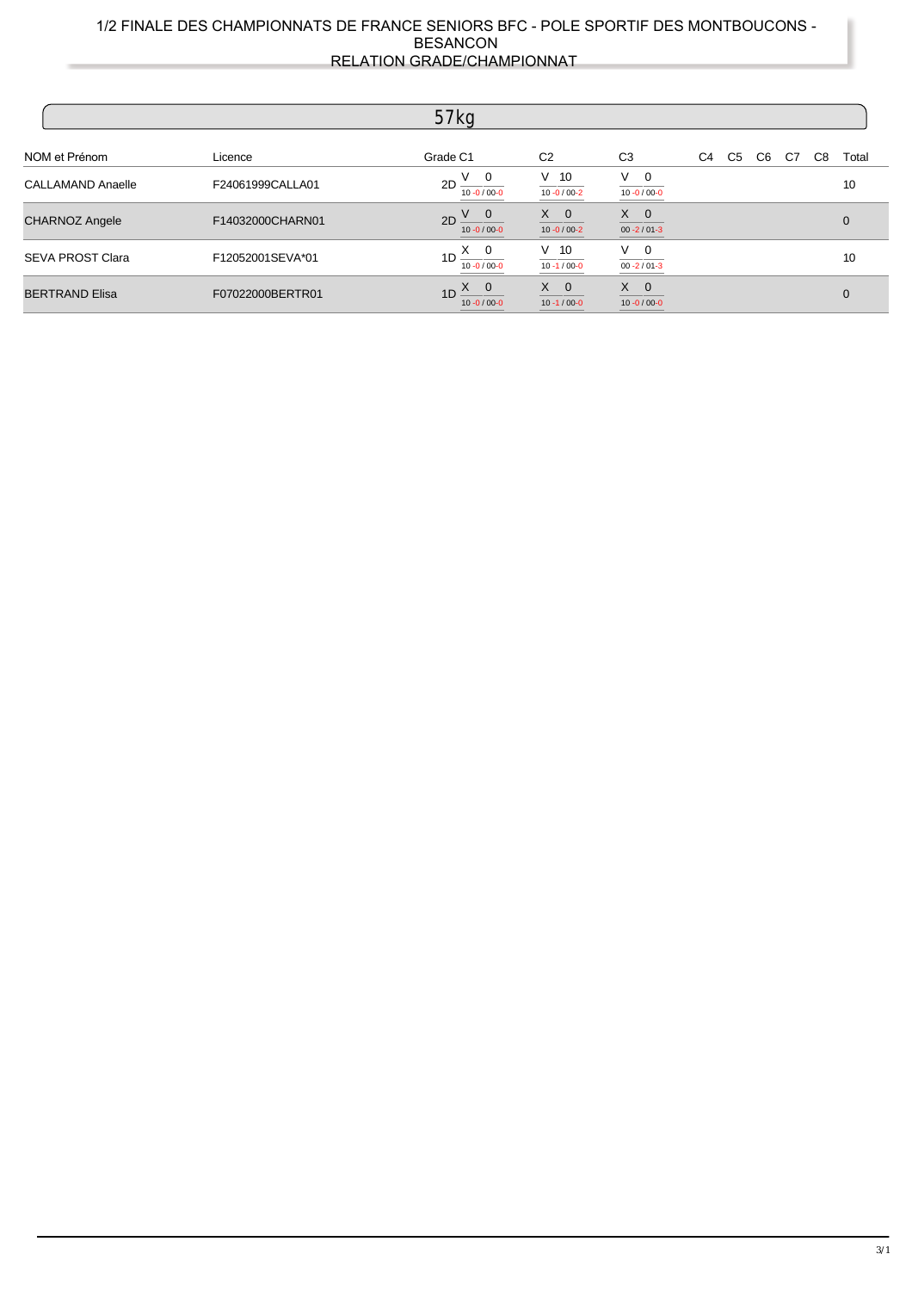|                          |                  | 57 kg                                              |                                  |                                  |                |                |    |    |    |              |
|--------------------------|------------------|----------------------------------------------------|----------------------------------|----------------------------------|----------------|----------------|----|----|----|--------------|
| NOM et Prénom            | Licence          | Grade C1                                           | C <sub>2</sub>                   | C <sub>3</sub>                   | C <sub>4</sub> | C <sub>5</sub> | C6 | C7 | C8 | Total        |
| <b>CALLAMAND Anaelle</b> | F24061999CALLA01 | . V 0<br>2D<br>$10 - 0 / 00 - 0$                   | $V$ 10<br>$10 - 0 / 00 - 2$      | $V \quad 0$<br>$10 - 0 / 00 - 0$ |                |                |    |    |    | 10           |
| <b>CHARNOZ Angele</b>    | F14032000CHARN01 | $2D \frac{V}{V}$ 0<br>$10 - 0 / 00 - 0$            | $X \quad 0$<br>$10 - 0 / 00 - 2$ | $X \quad 0$<br>$00 - 2 / 01 - 3$ |                |                |    |    |    | $\mathbf{0}$ |
| <b>SEVA PROST Clara</b>  | F12052001SEVA*01 | $X \quad 0$<br>1 <sub>D</sub><br>$10 - 0 / 00 - 0$ | $V$ 10<br>$10 - 1 / 00 - 0$      | $V \quad 0$<br>$00 - 2 / 01 - 3$ |                |                |    |    |    | 10           |
| <b>BERTRAND Elisa</b>    | F07022000BERTR01 | $\chi$ 0<br>1D<br>$10 - 0 / 00 - 0$                | $X \quad 0$<br>$10 - 1 / 00 - 0$ | $X \quad 0$<br>$10 - 0 / 00 - 0$ |                |                |    |    |    | $\Omega$     |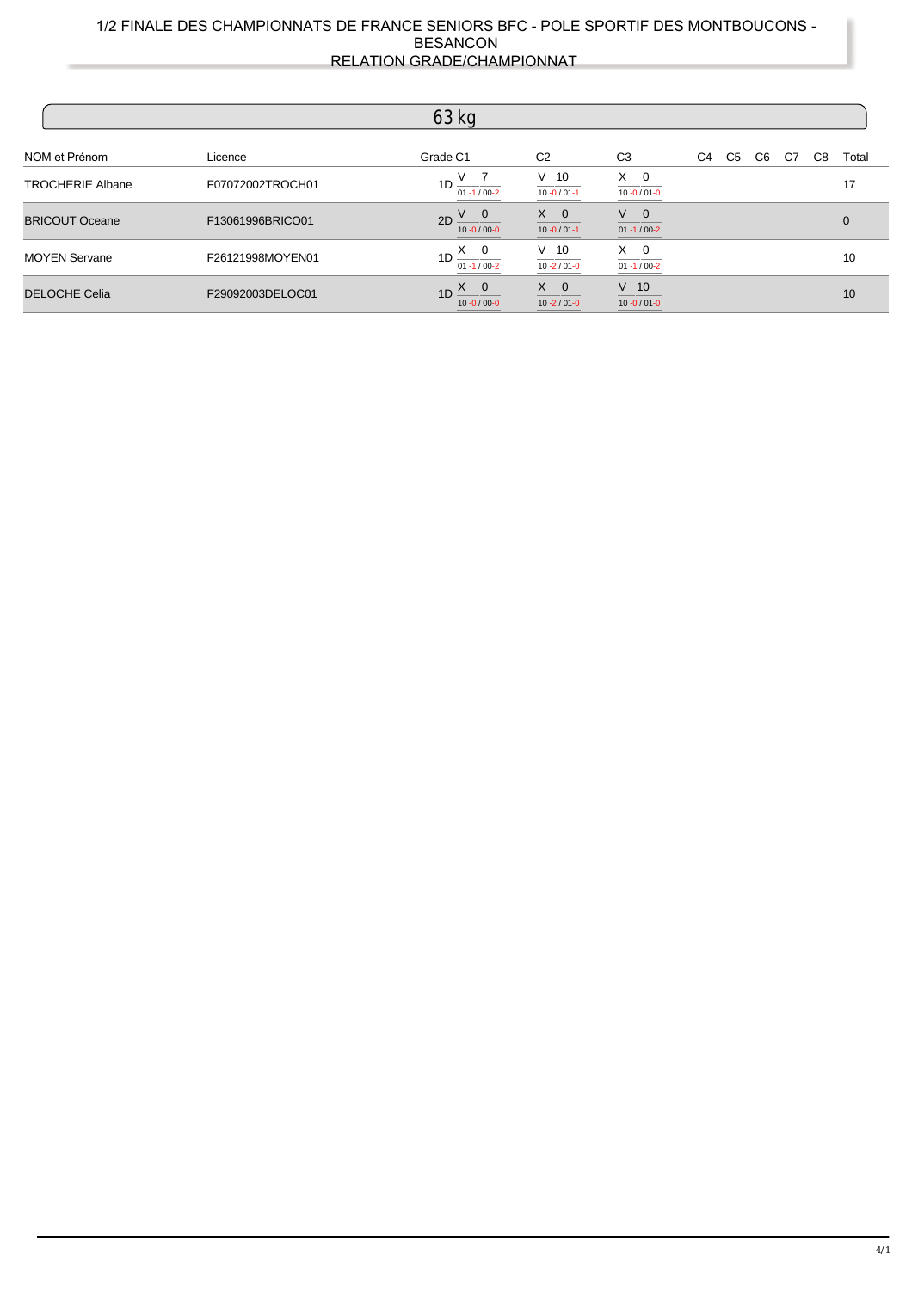|                         |                  | $63$ kg                                       |                                  |                                              |                |    |    |    |    |                |
|-------------------------|------------------|-----------------------------------------------|----------------------------------|----------------------------------------------|----------------|----|----|----|----|----------------|
| NOM et Prénom           | Licence          | Grade C1                                      | C <sub>2</sub>                   | C <sub>3</sub>                               | C <sub>4</sub> | C5 | C6 | C7 | C8 | Total          |
| <b>TROCHERIE Albane</b> | F07072002TROCH01 | $1D \frac{V}{01.1/00.2}$                      | $V$ 10<br>$10 - 0 / 01 - 1$      | $X \quad 0$<br>$10 - 0 / 01 - 0$             |                |    |    |    |    | 17             |
| <b>BRICOUT Oceane</b>   | F13061996BRICO01 | $2D \frac{V}{10-0/00-0}$                      | $X \quad 0$<br>$10 - 0 / 01 - 1$ | $\mathsf{V}=\mathsf{0}$<br>$01 - 1 / 00 - 2$ |                |    |    |    |    | $\overline{0}$ |
| <b>MOYEN Servane</b>    | F26121998MOYEN01 | $1D \frac{X \cdot 0}{X}$<br>$01 - 1 / 00 - 2$ | $V$ 10<br>$10 - 2 / 01 - 0$      | $X \quad 0$<br>$01 - 1 / 00 - 2$             |                |    |    |    |    | 10             |
| <b>DELOCHE Celia</b>    | F29092003DELOC01 | $1D \frac{X}{Y}$<br>$10 - 0 / 00 - 0$         | $X \quad 0$<br>$10 - 2 / 01 - 0$ | $V$ 10<br>$10 - 0 / 01 - 0$                  |                |    |    |    |    | 10             |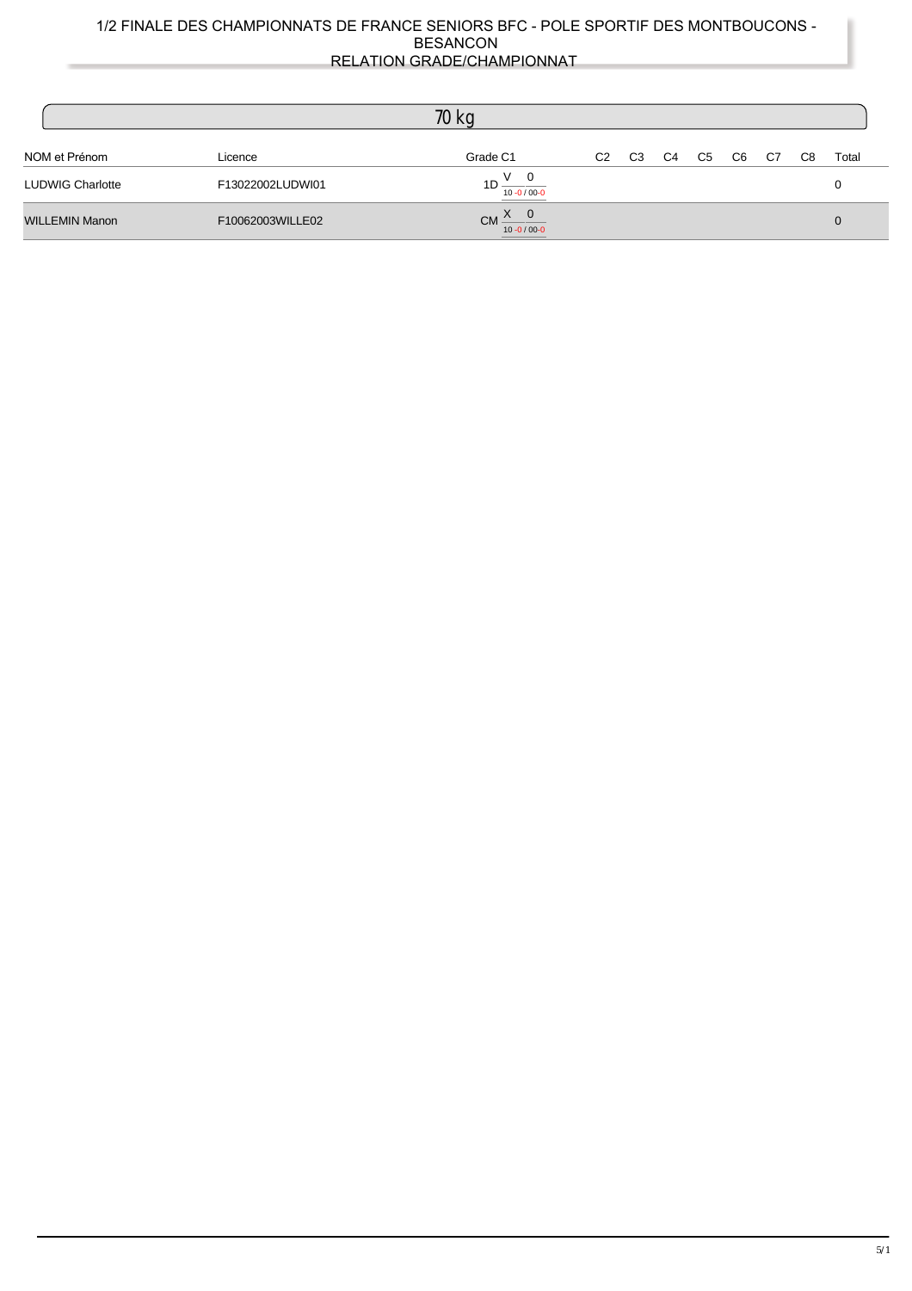|                         |                  | 70 kg                                                                                              |                |                |    |    |                |    |    |       |
|-------------------------|------------------|----------------------------------------------------------------------------------------------------|----------------|----------------|----|----|----------------|----|----|-------|
| NOM et Prénom           | Licence          | Grade C1                                                                                           | C <sub>2</sub> | C <sub>3</sub> | C4 | C5 | C <sub>6</sub> | C7 | C8 | Total |
| <b>LUDWIG Charlotte</b> | F13022002LUDWI01 | $1D \frac{V}{V}$ 0<br>$10 - 0 / 00 - 0$                                                            |                |                |    |    |                |    |    |       |
| <b>WILLEMIN Manon</b>   | F10062003WILLE02 | $CM \xrightarrow{X} 0$<br>___<br>$10 - 0 / 00 - 0$<br>the control of the control of the control of |                |                |    |    |                |    |    |       |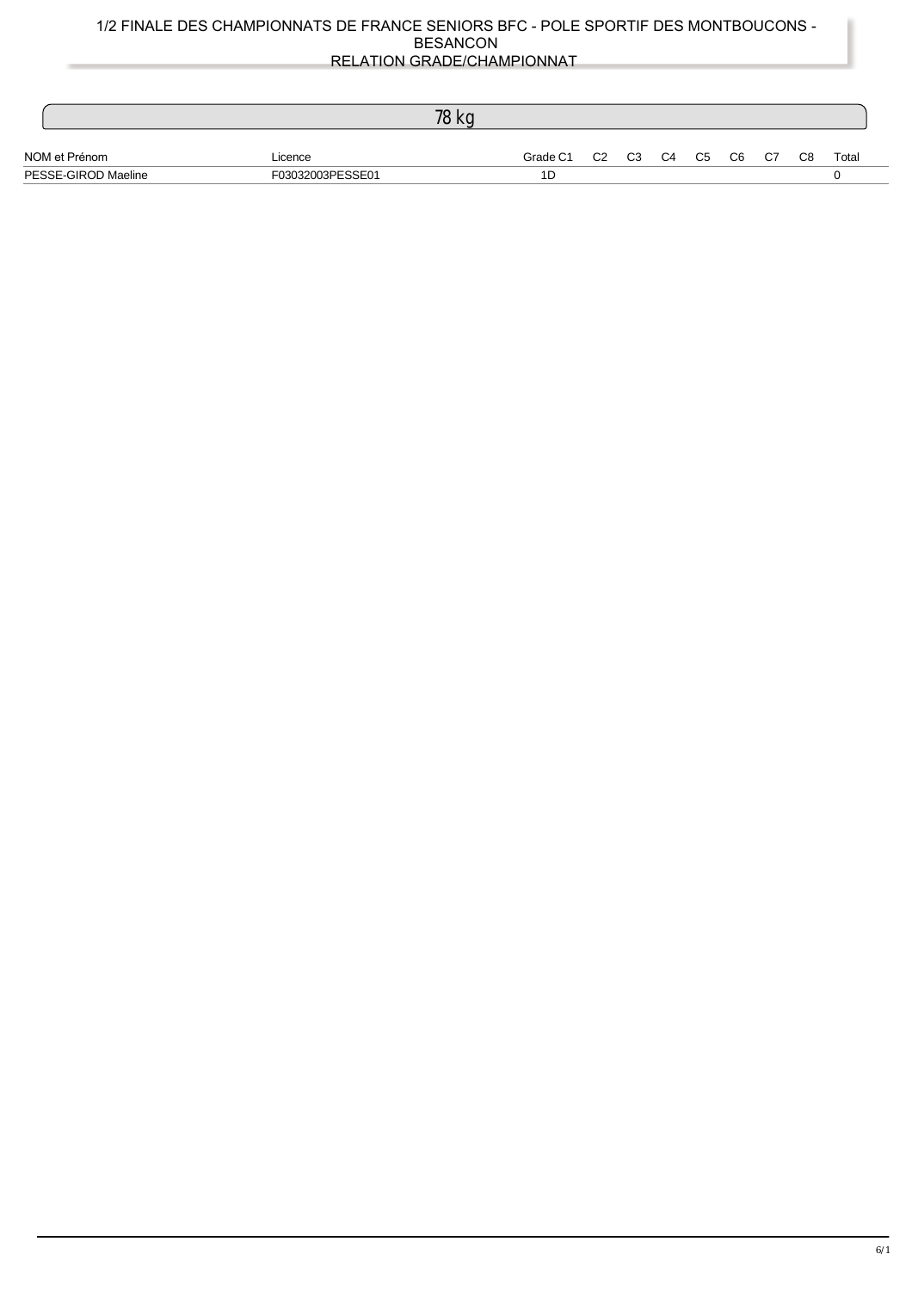|                     |                  | 78 kg |                               |  |  |  |       |
|---------------------|------------------|-------|-------------------------------|--|--|--|-------|
| NOM et Prénom       | Licence          |       | Grade C1 C2 C3 C4 C5 C6 C7 C8 |  |  |  | Total |
| PESSE-GIROD Maeline | F03032003PESSE01 |       | 1D                            |  |  |  |       |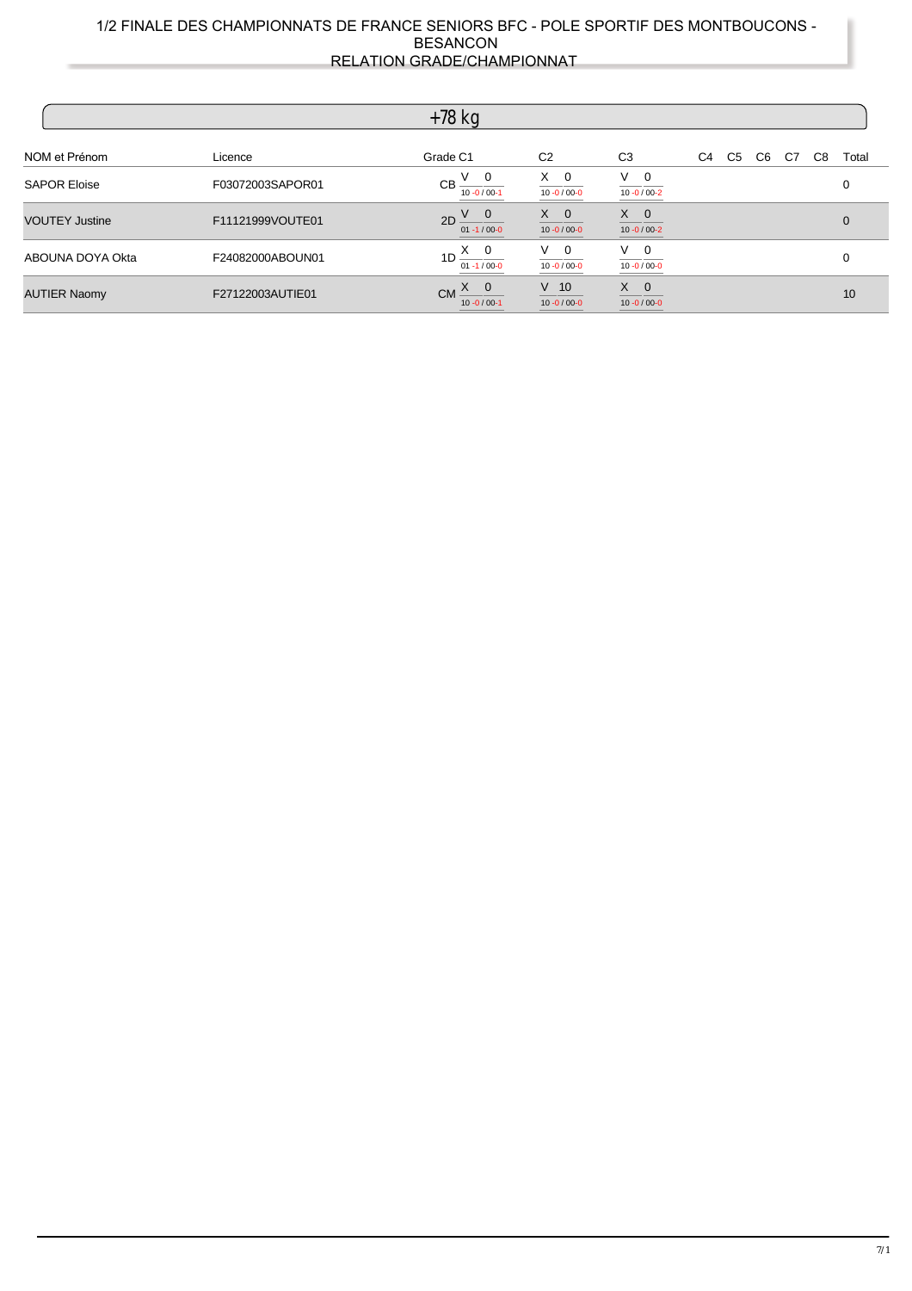|                       |                  | $+78$ kg                                      |                                  |                                  |                |    |    |    |    |       |
|-----------------------|------------------|-----------------------------------------------|----------------------------------|----------------------------------|----------------|----|----|----|----|-------|
| NOM et Prénom         | Licence          | Grade C1                                      | C <sub>2</sub>                   | C <sub>3</sub>                   | C <sub>4</sub> | C5 | C6 | C7 | C8 | Total |
| <b>SAPOR Eloise</b>   | F03072003SAPOR01 | $V \quad 0$<br><b>CB</b><br>$10 - 0 / 00 - 1$ | $X \quad 0$<br>$10 - 0 / 00 - 0$ | $V \quad 0$<br>$10 - 0 / 00 - 2$ |                |    |    |    |    | 0     |
| <b>VOUTEY Justine</b> | F11121999VOUTE01 | $2D \frac{V}{V}$ 0<br>01 -1 / 00-0            | $X \quad 0$<br>$10 - 0 / 00 - 0$ | $X \quad 0$<br>$10 - 0 / 00 - 2$ |                |    |    |    |    | 0     |
| ABOUNA DOYA Okta      | F24082000ABOUN01 | $1D \frac{X}{Q}$<br>$01 - 1 / 00 - 0$         | $V \quad 0$<br>$10 - 0 / 00 - 0$ | $V \quad 0$<br>$10 - 0 / 00 - 0$ |                |    |    |    |    |       |
| <b>AUTIER Naomy</b>   | F27122003AUTIE01 | $CM \times 0$<br>$10 - 0 / 00 - 1$            | $V$ 10<br>$10 - 0 / 00 - 0$      | $X \quad 0$<br>$10 - 0 / 00 - 0$ |                |    |    |    |    | 10    |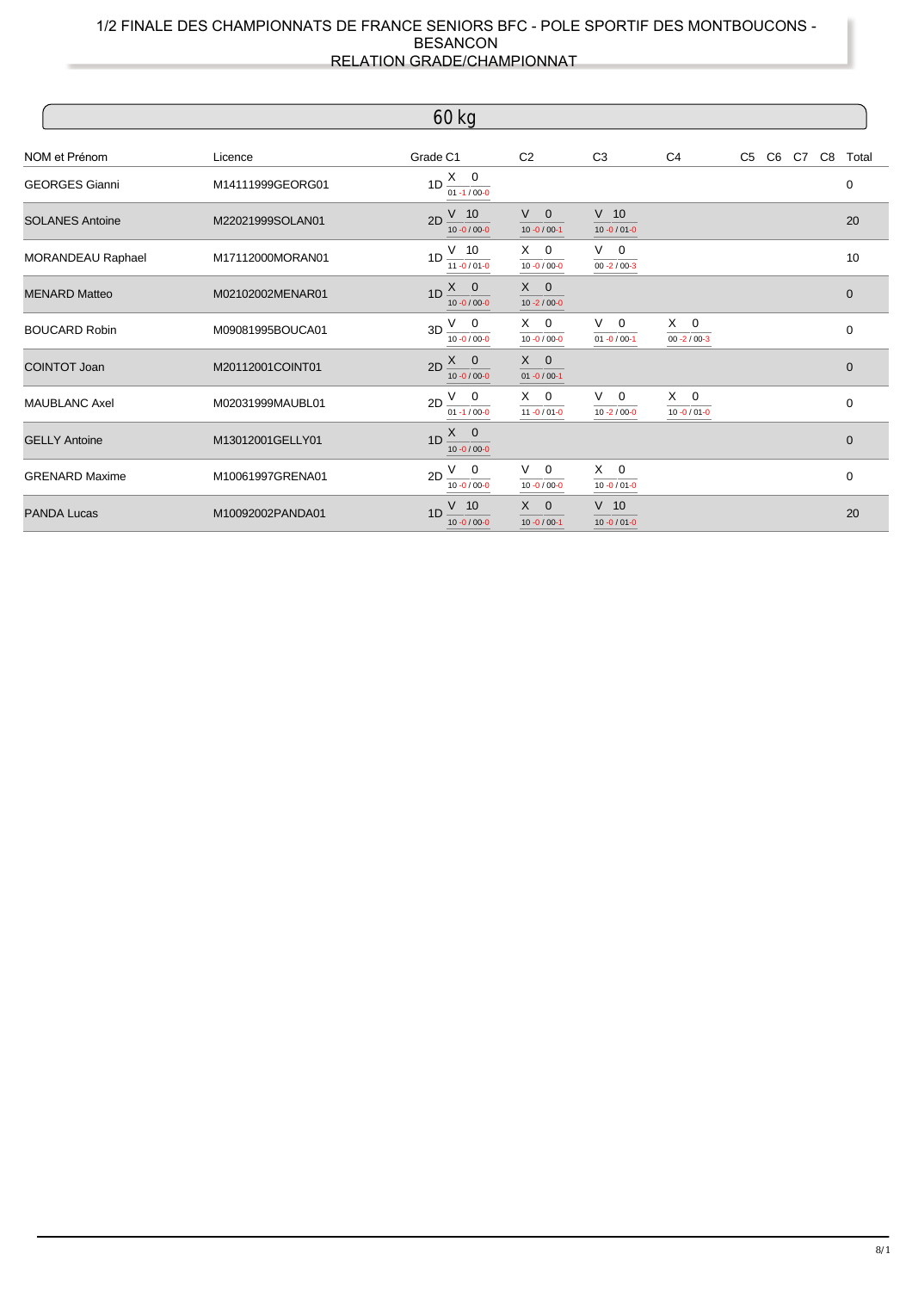|                        |                  | $60$ kg                                       |                                  |                                  |                                  |                   |             |
|------------------------|------------------|-----------------------------------------------|----------------------------------|----------------------------------|----------------------------------|-------------------|-------------|
| NOM et Prénom          | Licence          | Grade C1                                      | C <sub>2</sub>                   | C <sub>3</sub>                   | C <sub>4</sub>                   | C5 C6 C7 C8 Total |             |
| <b>GEORGES Gianni</b>  | M14111999GEORG01 | $1D \frac{X \cdot 0}{X}$<br>$01 - 1 / 00 - 0$ |                                  |                                  |                                  |                   | 0           |
| <b>SOLANES Antoine</b> | M22021999SOLAN01 | $V$ 10<br>2D<br>$10 - 0 / 00 - 0$             | $V \quad 0$<br>$10 - 0 / 00 - 1$ | $V$ 10<br>$10 - 0 / 01 - 0$      |                                  |                   | 20          |
| MORANDEAU Raphael      | M17112000MORAN01 | $1D \frac{V}{I}$ 10<br>$11 - 0 / 01 - 0$      | $X \quad 0$<br>$10 - 0 / 00 - 0$ | $V \quad 0$<br>$00 - 2 / 00 - 3$ |                                  |                   | 10          |
| <b>MENARD Matteo</b>   | M02102002MENAR01 | $X \quad 0$<br>1D<br>$10 - 0 / 00 - 0$        | $X \quad 0$<br>$10 - 2 / 00 - 0$ |                                  |                                  |                   | $\mathbf 0$ |
| <b>BOUCARD Robin</b>   | M09081995BOUCA01 | $3D \frac{V}{V}$ 0<br>$10 - 0 / 00 - 0$       | $X \quad 0$<br>$10 - 0 / 00 - 0$ | $V \quad 0$<br>$01 - 0 / 00 - 1$ | $X \quad 0$<br>$00 - 2 / 00 - 3$ |                   | $\mathbf 0$ |
| <b>COINTOT Joan</b>    | M20112001COINT01 | $2D \frac{X}{Y}$ 0<br>$10 - 0 / 00 - 0$       | $X \quad 0$<br>$01 - 0 / 00 - 1$ |                                  |                                  |                   | $\mathbf 0$ |
| <b>MAUBLANC Axel</b>   | M02031999MAUBL01 | $2D \frac{V}{V}$ 0<br>$01 - 1 / 00 - 0$       | $X \quad 0$<br>$11 - 0 / 01 - 0$ | $V \quad 0$<br>$10 - 2 / 00 - 0$ | $X \quad 0$<br>$10 - 0 / 01 - 0$ |                   | $\Omega$    |
| <b>GELLY Antoine</b>   | M13012001GELLY01 | $1D \frac{X}{Y}$<br>$10 - 0 / 00 - 0$         |                                  |                                  |                                  |                   | $\mathbf 0$ |
| <b>GRENARD Maxime</b>  | M10061997GRENA01 | $V$ 0<br>2D<br>$10 - 0 / 00 - 0$              | $V \quad 0$<br>$10 - 0 / 00 - 0$ | $X \quad 0$<br>$10 - 0 / 01 - 0$ |                                  |                   | $\mathbf 0$ |
| <b>PANDA Lucas</b>     | M10092002PANDA01 | $V$ 10<br>1 <sub>D</sub><br>$10 - 0 / 00 - 0$ | $X \quad 0$<br>$10 - 0 / 00 - 1$ | $V$ 10<br>$10 - 0 / 01 - 0$      |                                  |                   | 20          |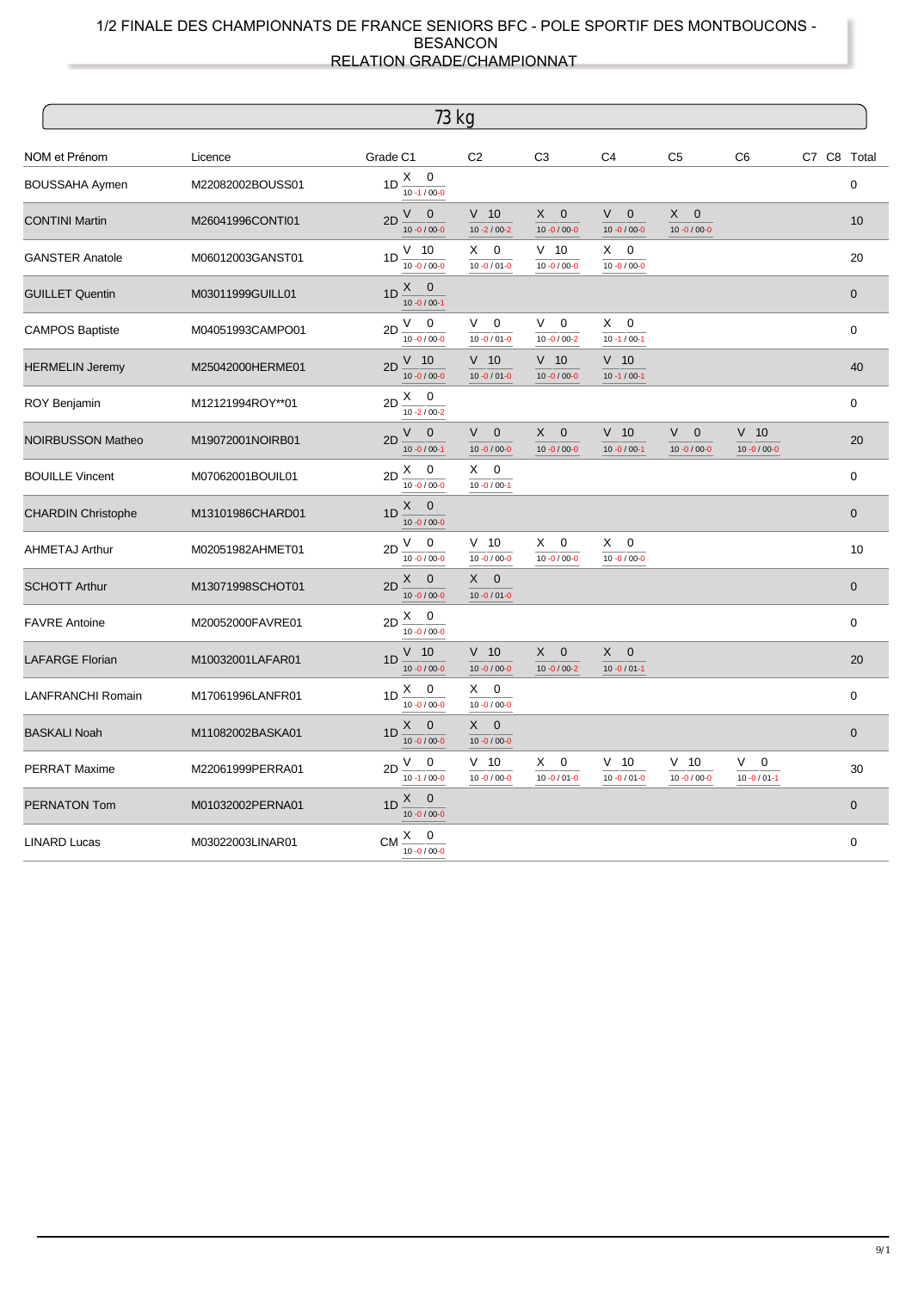|                           |                  | 73 kg                                                        |                                                     |                                           |                                           |                                       |                                        |             |                |
|---------------------------|------------------|--------------------------------------------------------------|-----------------------------------------------------|-------------------------------------------|-------------------------------------------|---------------------------------------|----------------------------------------|-------------|----------------|
| NOM et Prénom             | Licence          | Grade C1                                                     | C <sub>2</sub>                                      | C <sub>3</sub>                            | C <sub>4</sub>                            | C <sub>5</sub>                        | C <sub>6</sub>                         | C7 C8 Total |                |
| <b>BOUSSAHA Aymen</b>     | M22082002BOUSS01 | 1D $\frac{X}{10-1/00-0}$                                     |                                                     |                                           |                                           |                                       |                                        |             | 0              |
| <b>CONTINI Martin</b>     | M26041996CONTI01 | $V$ 0<br>2D<br>$10 - 0 / 00 - 0$                             | $V$ 10<br>$10 - 2 / 00 - 2$                         | X<br>$\mathbf 0$<br>$10 - 0 / 00 - 0$     | V<br>$\mathbf 0$<br>$10 - 0 / 00 - 0$     | $\mathbf 0$<br>X<br>$10 - 0 / 00 - 0$ |                                        |             | 10             |
| <b>GANSTER Anatole</b>    | M06012003GANST01 | $1D \frac{V}{I} 10$<br>$10 - 0 / 00 - 0$                     | $X \quad 0$<br>$10 - 0 / 01 - 0$                    | $V$ 10<br>$10 - 0 / 00 - 0$               | $\mathbf 0$<br>X.<br>$10 - 0 / 00 - 0$    |                                       |                                        |             | 20             |
| <b>GUILLET Quentin</b>    | M03011999GUILL01 | $X \quad 0$<br>1D<br>$10 - 0 / 00 - 1$                       |                                                     |                                           |                                           |                                       |                                        |             | $\overline{0}$ |
| <b>CAMPOS Baptiste</b>    | M04051993CAMPO01 | $V \quad 0$<br>2D<br>$10 - 0 / 00 - 0$                       | $\mathbf 0$<br>V<br>$10 - 0 / 01 - 0$               | V.<br>$\mathbf 0$<br>$10 - 0 / 00 - 2$    | X.<br>$\mathbf 0$<br>$10 - 1 / 00 - 1$    |                                       |                                        |             | $\mathbf 0$    |
| <b>HERMELIN Jeremy</b>    | M25042000HERME01 | $V$ 10<br>2D<br>$10 - 0 / 00 - 0$                            | $V$ 10<br>$10 - 0 / 01 - 0$                         | $V$ 10<br>$10 - 0 / 00 - 0$               | $V$ 10<br>$10 - 1 / 00 - 1$               |                                       |                                        |             | 40             |
| <b>ROY Benjamin</b>       | M12121994ROY**01 | $2D \stackrel{X}{\underline{\qquad}} 0$<br>$10 - 2 / 00 - 2$ |                                                     |                                           |                                           |                                       |                                        |             | 0              |
| <b>NOIRBUSSON Matheo</b>  | M19072001NOIRB01 | $V \quad 0$<br>2D<br>$10 - 0 / 00 - 1$                       | $V_{\parallel}$<br>$\mathbf 0$<br>$10 - 0 / 00 - 0$ | X<br>$\mathbf 0$<br>$10 - 0 / 00 - 0$     | $V$ 10<br>$10 - 0 / 00 - 1$               | V<br>$\mathbf 0$<br>$10 - 0 / 00 - 0$ | $V$ 10<br>$10 - 0 / 00 - 0$            |             | 20             |
| <b>BOUILLE Vincent</b>    | M07062001BOUIL01 | $2D \frac{X}{10.00000}$                                      | $X \quad 0$<br>$10 - 0 / 00 - 1$                    |                                           |                                           |                                       |                                        |             | $\Omega$       |
| <b>CHARDIN Christophe</b> | M13101986CHARD01 | $X \qquad 0$<br>1D<br>$10 - 0 / 00 - 0$                      |                                                     |                                           |                                           |                                       |                                        |             | $\mathbf{0}$   |
| <b>AHMETAJ Arthur</b>     | M02051982AHMET01 | $V$ 0<br>2D<br>$10 - 0 / 00 - 0$                             | $V$ 10<br>$10 - 0 / 00 - 0$                         | 0<br>X.<br>$10 - 0 / 00 - 0$              | $\mathbf 0$<br>X.<br>$10 - 0 / 00 - 0$    |                                       |                                        |             | 10             |
| <b>SCHOTT Arthur</b>      | M13071998SCHOT01 | $X \quad 0$<br>2D<br>$10 - 0 / 00 - 0$                       | $X \quad 0$<br>$10 - 0 / 01 - 0$                    |                                           |                                           |                                       |                                        |             | $\mathbf{0}$   |
| <b>FAVRE Antoine</b>      | M20052000FAVRE01 | $2D \frac{X}{10.00000}$                                      |                                                     |                                           |                                           |                                       |                                        |             | $\mathbf 0$    |
| <b>LAFARGE Florian</b>    | M10032001LAFAR01 | $1D \frac{V}{10.00000}$                                      | $V$ 10<br>$10 - 0 / 00 - 0$                         | $X -$<br>$\mathbf 0$<br>$10 - 0 / 00 - 2$ | $X -$<br>$\mathbf 0$<br>$10 - 0 / 01 - 1$ |                                       |                                        |             | 20             |
| <b>LANFRANCHI Romain</b>  | M17061996LANFR01 | $1D \frac{X}{Y}$ 0<br>$10 - 0 / 00 - 0$                      | $X \quad 0$<br>$10 - 0 / 00 - 0$                    |                                           |                                           |                                       |                                        |             | $\mathbf 0$    |
| <b>BASKALI Noah</b>       | M11082002BASKA01 | $X \quad 0$<br>1D<br>$10 - 0 / 00 - 0$                       | $\mathbf 0$<br>X -<br>$10 - 0 / 00 - 0$             |                                           |                                           |                                       |                                        |             | $\mathbf 0$    |
| <b>PERRAT Maxime</b>      | M22061999PERRA01 | $V \quad 0$<br>2D<br>$10 - 1 / 00 - 0$                       | $V$ 10<br>$10 - 0 / 00 - 0$                         | X.<br>0<br>$10 - 0 / 01 - 0$              | $V$ 10<br>$10 - 0 / 01 - 0$               | $V$ 10<br>$10 - 0 / 00 - 0$           | V.<br>$\mathbf 0$<br>$10 - 0 / 01 - 1$ |             | 30             |
| <b>PERNATON Tom</b>       | M01032002PERNA01 | $X \quad 0$<br>1D<br>$10 - 0 / 00 - 0$                       |                                                     |                                           |                                           |                                       |                                        |             | $\mathbf 0$    |
| <b>LINARD Lucas</b>       | M03022003LINAR01 | CM $\frac{X}{10-0/00-0}$                                     |                                                     |                                           |                                           |                                       |                                        |             | $\mathbf 0$    |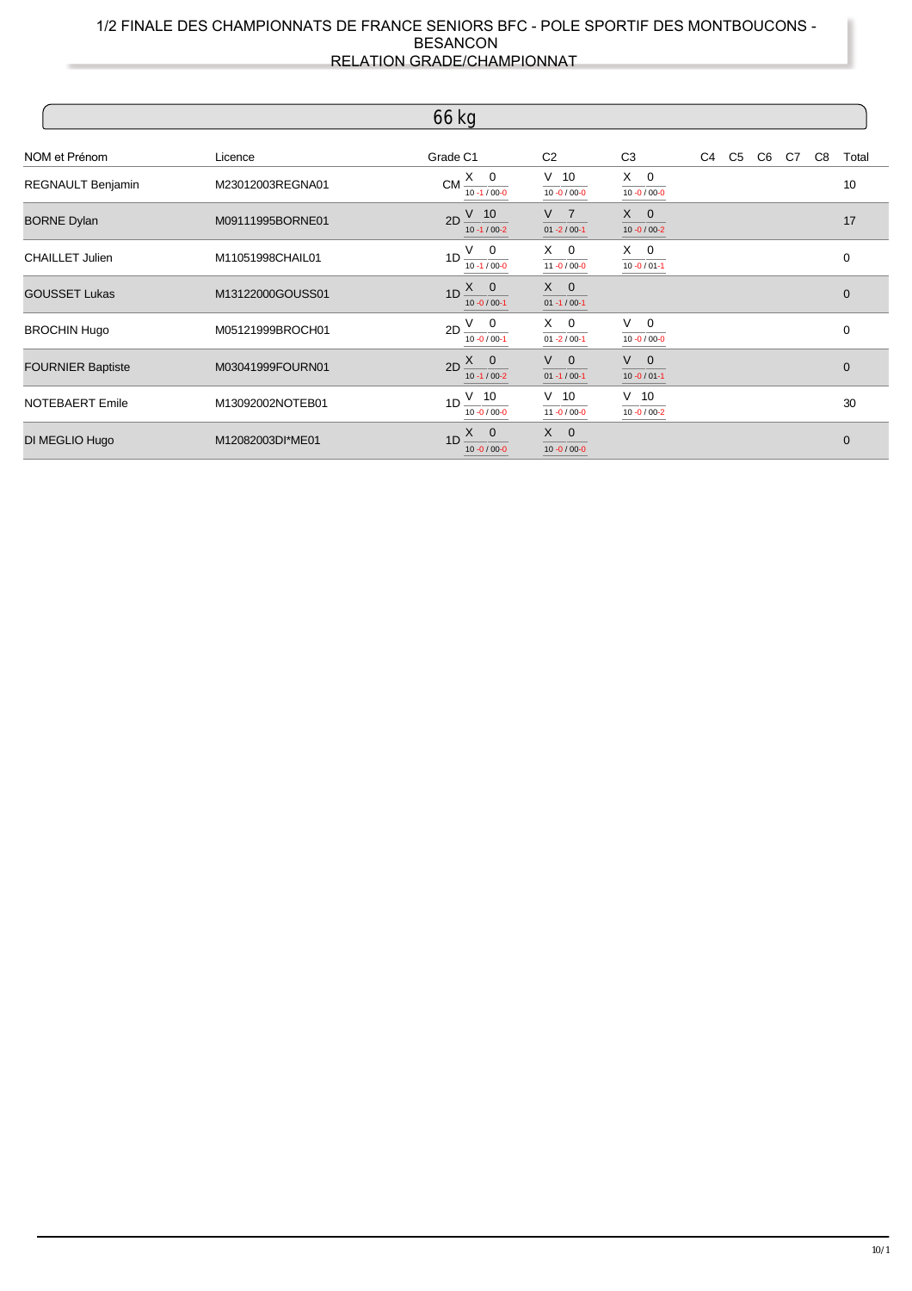|                          |                  | 66 kg                                                         |                                     |                                  |    |                |       |    |             |
|--------------------------|------------------|---------------------------------------------------------------|-------------------------------------|----------------------------------|----|----------------|-------|----|-------------|
| NOM et Prénom            | Licence          | Grade C1                                                      | C <sub>2</sub>                      | C <sub>3</sub>                   | C4 | C <sub>5</sub> | C6 C7 | C8 | Total       |
| REGNAULT Benjamin        | M23012003REGNA01 | $CM \frac{X}{10.1/000}$                                       | $V$ 10<br>$10 - 0 / 00 - 0$         | $X \quad 0$<br>$10 - 0 / 00 - 0$ |    |                |       |    | 10          |
| <b>BORNE Dylan</b>       | M09111995BORNE01 | $V$ 10<br>2D<br>$10 - 1 / 00 - 2$                             | V <sub>7</sub><br>$01 - 2 / 00 - 1$ | $X \quad 0$<br>$10 - 0 / 00 - 2$ |    |                |       |    | 17          |
| <b>CHAILLET Julien</b>   | M11051998CHAIL01 | $1D \frac{V}{10.1/000}$                                       | $X \quad 0$<br>$11 - 0 / 00 - 0$    | $X$ 0<br>$10 - 0 / 01 - 1$       |    |                |       |    | 0           |
| <b>GOUSSET Lukas</b>     | M13122000GOUSS01 | $1D \frac{X}{Y}$<br>$10 - 0 / 00 - 1$                         | $X \quad 0$<br>$01 - 1 / 00 - 1$    |                                  |    |                |       |    | $\mathbf 0$ |
| <b>BROCHIN Hugo</b>      | M05121999BROCH01 | $2D \frac{V}{V}$ 0<br>$10 - 0 / 00 - 1$                       | $X \quad 0$<br>$01 - 2 / 00 - 1$    | $V \quad 0$<br>$10 - 0 / 00 - 0$ |    |                |       |    | 0           |
| <b>FOURNIER Baptiste</b> | M03041999FOURN01 | $2D \begin{bmatrix} X & 0 \end{bmatrix}$<br>$10 - 1 / 00 - 2$ | $V \quad 0$<br>$01 - 1 / 00 - 1$    | $V \quad 0$<br>$10 - 0 / 01 - 1$ |    |                |       |    | $\mathbf 0$ |
| <b>NOTEBAERT Emile</b>   | M13092002NOTEB01 | $1D \frac{V}{I}$ 10<br>$10 - 0 / 00 - 0$                      | $V$ 10<br>$11 - 0 / 00 - 0$         | $V$ 10<br>$10 - 0 / 00 - 2$      |    |                |       |    | 30          |
| DI MEGLIO Hugo           | M12082003DI*ME01 | $X \quad 0$<br>1 <sub>D</sub><br>$10 - 0 / 00 - 0$            | $X \quad 0$<br>$10 - 0 / 00 - 0$    |                                  |    |                |       |    | $\mathbf 0$ |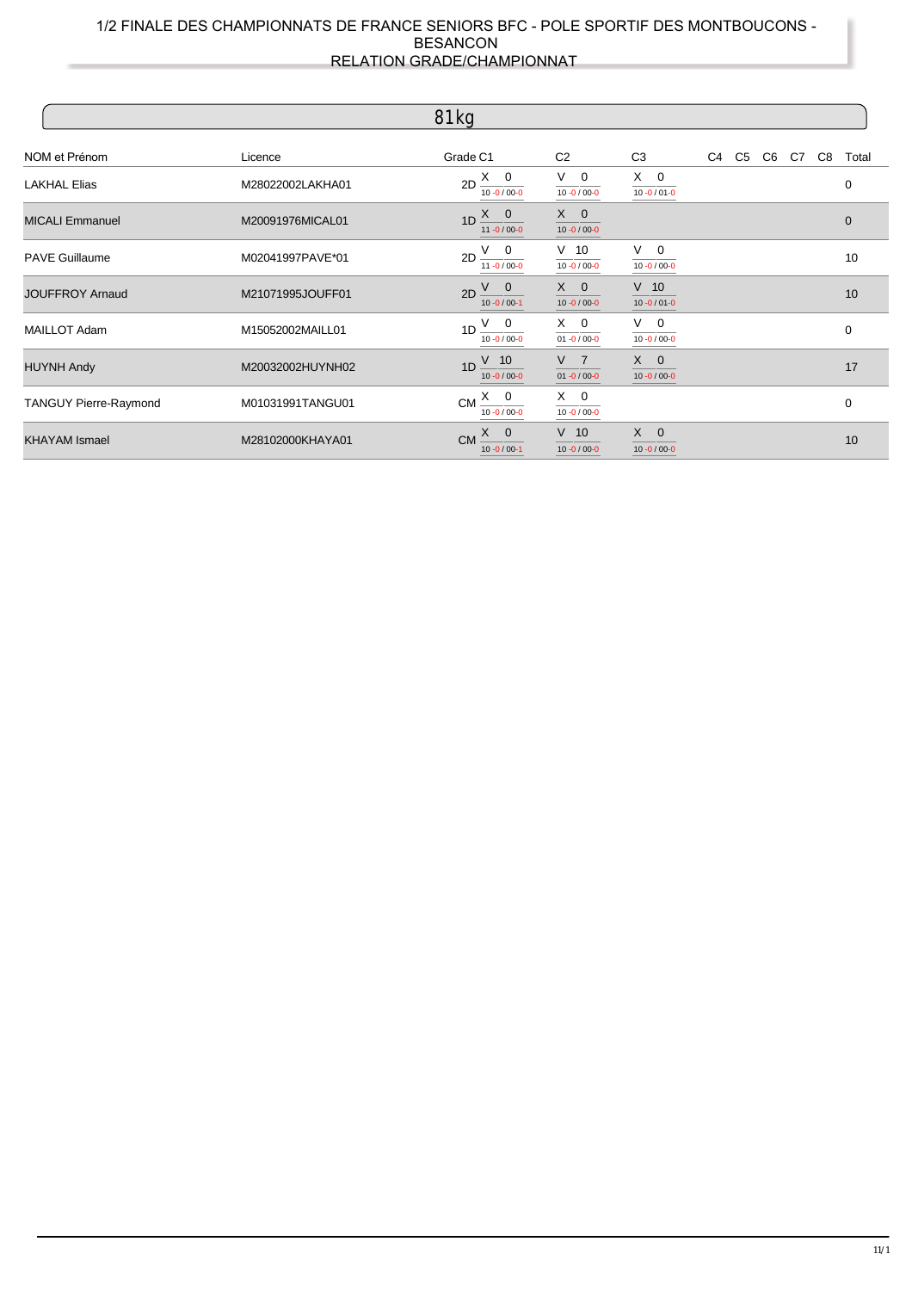|                        |                  | 81 kg                                                         |                                         |                                  |    |          |  |    |             |
|------------------------|------------------|---------------------------------------------------------------|-----------------------------------------|----------------------------------|----|----------|--|----|-------------|
| NOM et Prénom          | Licence          | Grade C1                                                      | C <sub>2</sub>                          | C <sub>3</sub>                   | C4 | C5 C6 C7 |  | C8 | Total       |
| <b>LAKHAL Elias</b>    | M28022002LAKHA01 | $2D \frac{X}{10.00000}$                                       | V –<br>$\mathbf 0$<br>$10 - 0 / 00 - 0$ | $X \quad 0$<br>$10 - 0 / 01 - 0$ |    |          |  |    | 0           |
| <b>MICALI Emmanuel</b> | M20091976MICAL01 | $1D \frac{X}{Y}$<br>$11 - 0 / 00 - 0$                         | $X \quad 0$<br>$10 - 0 / 00 - 0$        |                                  |    |          |  |    | $\mathbf 0$ |
| <b>PAVE Guillaume</b>  | M02041997PAVE*01 | $2D \frac{V}{11 - 0/00 - 0}$                                  | $V$ 10<br>$10 - 0 / 00 - 0$             | $V \quad 0$<br>$10 - 0 / 00 - 0$ |    |          |  |    | 10          |
| <b>JOUFFROY Arnaud</b> | M21071995JOUFF01 | $2D \begin{pmatrix} V & 0 \end{pmatrix}$<br>$10 - 0 / 00 - 1$ | $X \quad 0$<br>$10 - 0 / 00 - 0$        | $V$ 10<br>$10 - 0 / 01 - 0$      |    |          |  |    | 10          |
| <b>MAILLOT Adam</b>    | M15052002MAILL01 | $1D \frac{V}{V}$ 0<br>$10 - 0 / 00 - 0$                       | $X \quad 0$<br>$01 - 0 / 00 - 0$        | $V$ 0<br>$10 - 0 / 00 - 0$       |    |          |  |    | $\mathbf 0$ |
| <b>HUYNH Andy</b>      | M20032002HUYNH02 | $V$ 10<br>1 <sub>D</sub><br>$10 - 0 / 00 - 0$                 | V <sub>7</sub><br>$01 - 0 / 00 - 0$     | $X \quad 0$<br>$10 - 0 / 00 - 0$ |    |          |  |    | 17          |
| TANGUY Pierre-Raymond  | M01031991TANGU01 | $CM \frac{X}{10.00000}$                                       | $X \quad 0$<br>$10 - 0 / 00 - 0$        |                                  |    |          |  |    | 0           |
| <b>KHAYAM Ismael</b>   | M28102000KHAYA01 | $X \quad 0$<br><b>CM</b><br>$10 - 0 / 00 - 1$                 | $V$ 10<br>$10 - 0 / 00 - 0$             | $X \quad 0$<br>$10 - 0 / 00 - 0$ |    |          |  |    | 10          |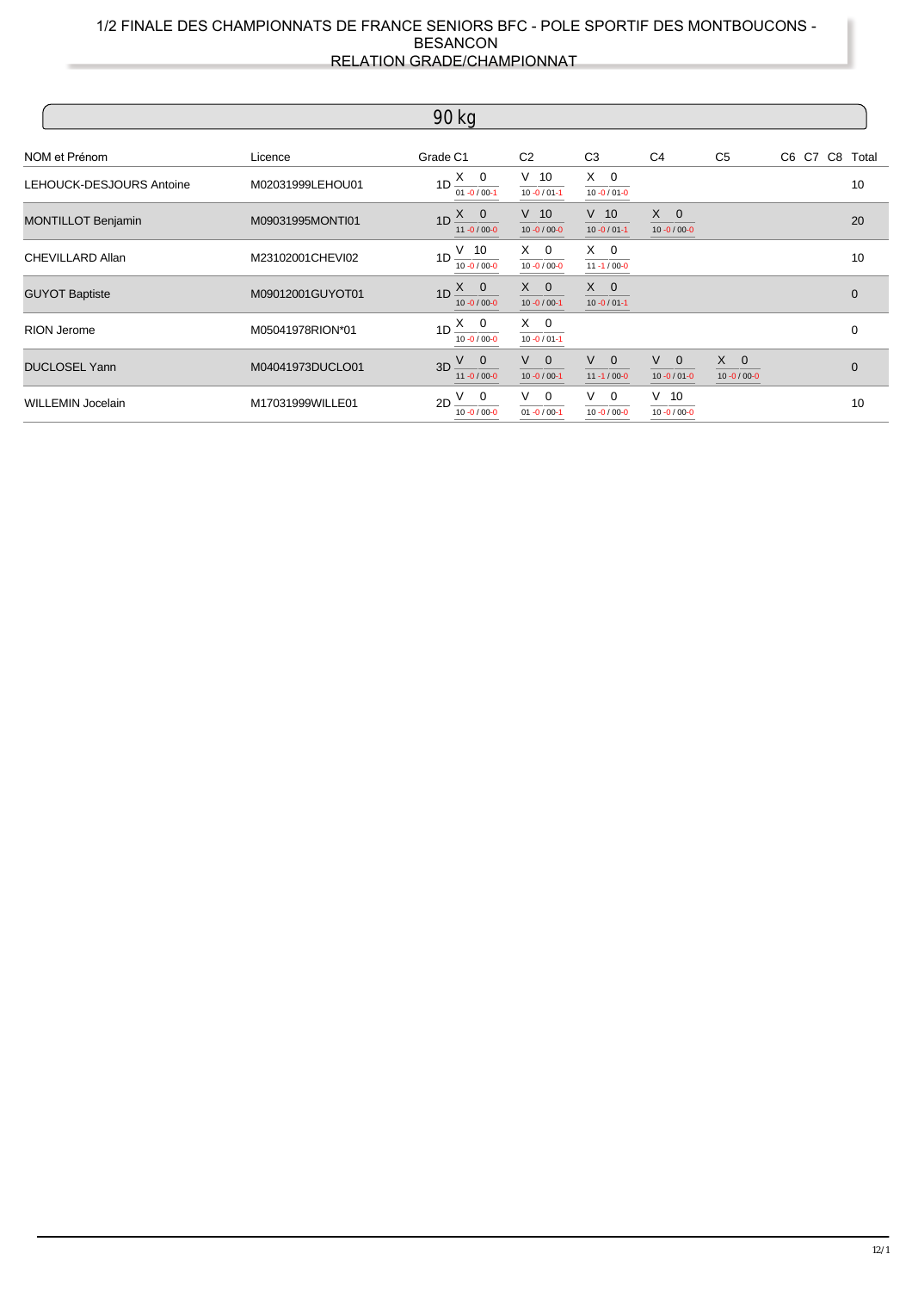|                           |                  | 90 kg                                         |                                  |                                  |                                  |                                  |                |
|---------------------------|------------------|-----------------------------------------------|----------------------------------|----------------------------------|----------------------------------|----------------------------------|----------------|
| NOM et Prénom             | Licence          | Grade C1                                      | C <sub>2</sub>                   | C <sub>3</sub>                   | C <sub>4</sub>                   | C <sub>5</sub>                   | C6 C7 C8 Total |
| LEHOUCK-DESJOURS Antoine  | M02031999LEHOU01 | 1D $\frac{X}{01} \frac{0}{0.000}$             | $V$ 10<br>$10 - 0 / 01 - 1$      | $X \quad 0$<br>$10 - 0 / 01 - 0$ |                                  |                                  | 10             |
| <b>MONTILLOT Benjamin</b> | M09031995MONTI01 | $1D \frac{X}{Y}$<br>$11 - 0 / 00 - 0$         | $V$ 10<br>$10 - 0 / 00 - 0$      | $V$ 10<br>$10 - 0 / 01 - 1$      | $X \quad 0$<br>$10 - 0 / 00 - 0$ |                                  | 20             |
| <b>CHEVILLARD Allan</b>   | M23102001CHEVI02 | $1D \frac{V}{I} 10$<br>$10 - 0 / 00 - 0$      | $X \quad 0$<br>$10 - 0 / 00 - 0$ | $X \quad 0$<br>$11 - 1 / 00 - 0$ |                                  |                                  | 10             |
| <b>GUYOT Baptiste</b>     | M09012001GUYOT01 | $1D \frac{X}{Y}$<br>$10 - 0 / 00 - 0$         | $X \quad 0$<br>$10 - 0 / 00 - 1$ | $X \quad 0$<br>$10 - 0 / 01 - 1$ |                                  |                                  | $\mathbf{0}$   |
| <b>RION Jerome</b>        | M05041978RION*01 | $1D \frac{X \cdot 0}{X}$<br>$10 - 0 / 00 - 0$ | $X \quad 0$<br>$10 - 0 / 01 - 1$ |                                  |                                  |                                  | $\mathbf 0$    |
| <b>DUCLOSEL Yann</b>      | M04041973DUCLO01 | $V$ 0<br>3D<br>$11 - 0 / 00 - 0$              | $V \quad 0$<br>$10 - 0 / 00 - 1$ | $V \quad 0$<br>$11 - 1 / 00 - 0$ | $V \quad 0$<br>$10 - 0 / 01 - 0$ | $X \quad 0$<br>$10 - 0 / 00 - 0$ | $\Omega$       |
| <b>WILLEMIN Jocelain</b>  | M17031999WILLE01 | $\frac{V}{10.0000}$<br>2D                     | $V \quad 0$<br>$01 - 0 / 00 - 1$ | $V \quad 0$<br>$10 - 0 / 00 - 0$ | $V$ 10<br>$10 - 0 / 00 - 0$      |                                  | 10             |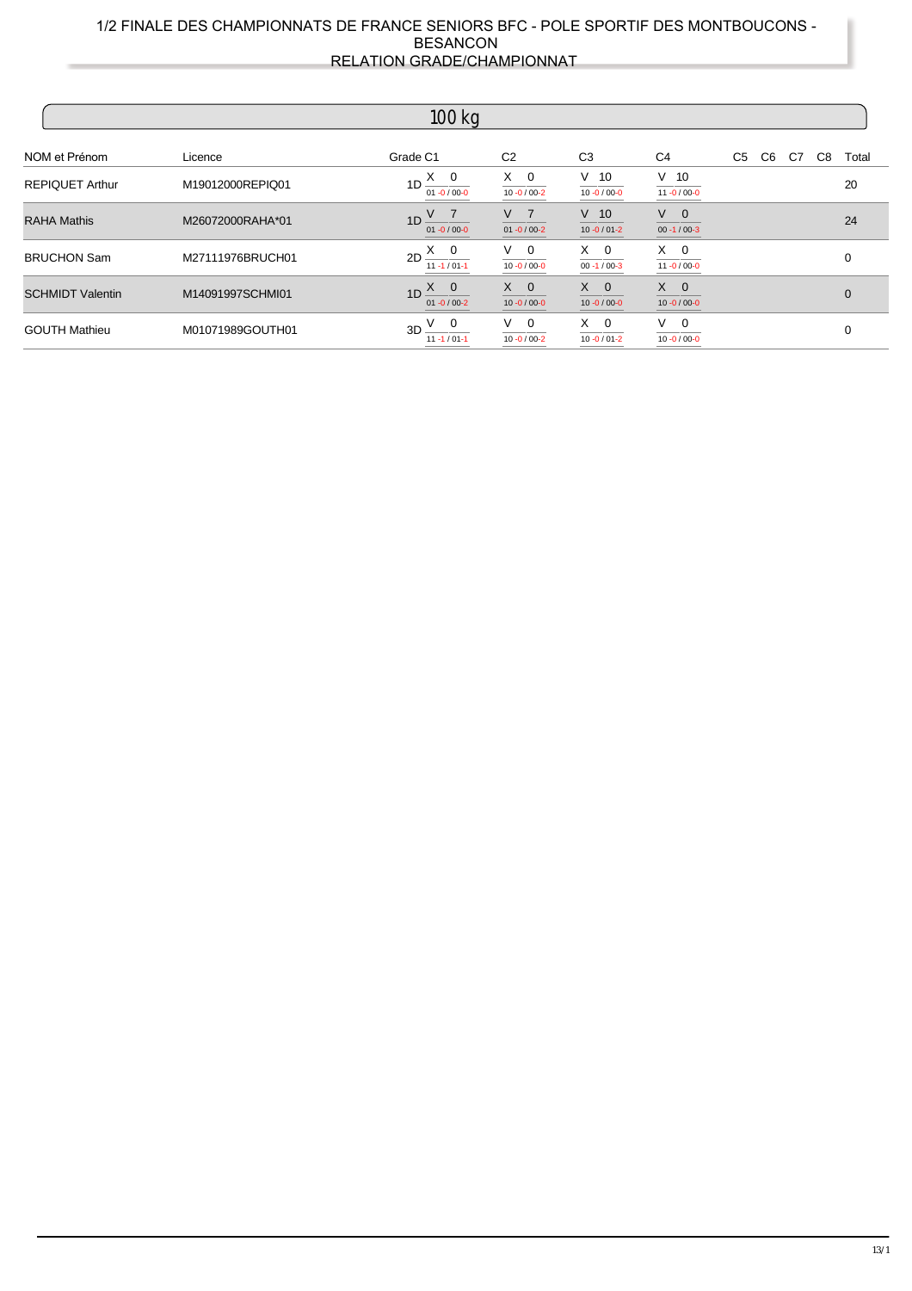| $100$ kg                |                  |                                                               |                                  |                                  |                                  |          |                |  |  |  |  |
|-------------------------|------------------|---------------------------------------------------------------|----------------------------------|----------------------------------|----------------------------------|----------|----------------|--|--|--|--|
| NOM et Prénom           | Licence          | Grade C1                                                      | C <sub>2</sub>                   | C <sub>3</sub>                   | C4                               | C5 C6 C7 | C8<br>Total    |  |  |  |  |
| <b>REPIQUET Arthur</b>  | M19012000REPIQ01 | $1D \xrightarrow{X} 0$<br>$01 - 0 / 00 - 0$                   | $X \quad 0$<br>$10 - 0 / 00 - 2$ | $V$ 10<br>$10 - 0 / 00 - 0$      | $V$ 10<br>$11 - 0 / 00 - 0$      |          | 20             |  |  |  |  |
| <b>RAHA Mathis</b>      | M26072000RAHA*01 | $1D \frac{V}{01 - 0/00 - 0}$                                  | $V$ 7<br>$01 - 0/00 - 2$         | $V$ 10<br>$10 - 0 / 01 - 2$      | $V \quad 0$<br>$00 - 1 / 00 - 3$ |          | 24             |  |  |  |  |
| <b>BRUCHON Sam</b>      | M27111976BRUCH01 | $2D \xrightarrow{X} 0 \xrightarrow{V} 0$<br>$11 - 1 / 01 - 1$ | $10 - 0 / 00 - 0$                | $X \quad 0$<br>$00 - 1 / 00 - 3$ | $X \quad 0$<br>$11 - 0 / 00 - 0$ |          | $\mathbf 0$    |  |  |  |  |
| <b>SCHMIDT Valentin</b> | M14091997SCHMI01 | $1D \frac{X}{Y}$<br>$01 - 0 / 00 - 2$                         | $X \quad 0$<br>$10 - 0 / 00 - 0$ | $X \quad 0$<br>$10 - 0 / 00 - 0$ | $X \quad 0$<br>$10 - 0 / 00 - 0$ |          | $\overline{0}$ |  |  |  |  |
| <b>GOUTH Mathieu</b>    | M01071989GOUTH01 | $3D \frac{V}{V}$ 0<br>$11 - 1 / 01 - 1$                       | $V$ 0<br>$10 - 0 / 00 - 2$       | $X \quad 0$<br>$10 - 0 / 01 - 2$ | $V$ 0<br>$10 - 0 / 00 - 0$       |          | 0              |  |  |  |  |